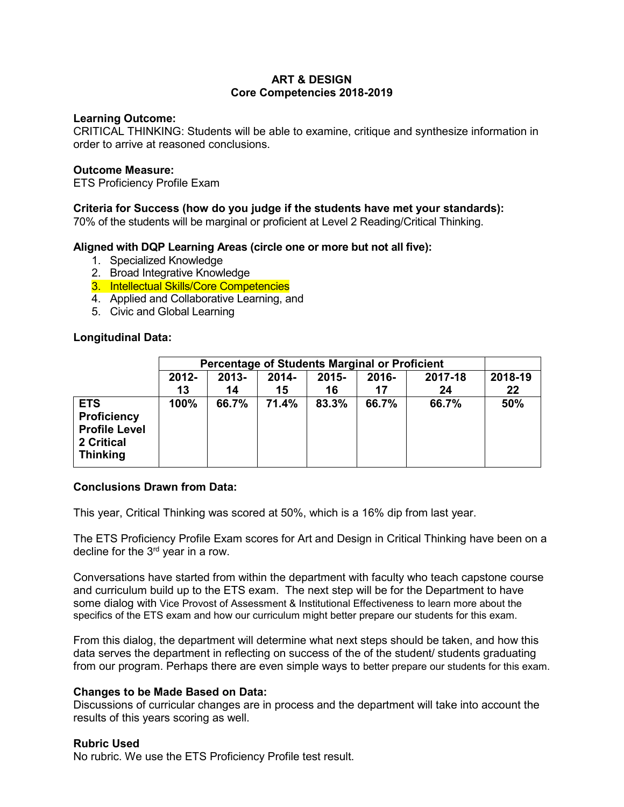### **ART & DESIGN Core Competencies 2018-2019**

### **Learning Outcome:**

CRITICAL THINKING: Students will be able to examine, critique and synthesize information in order to arrive at reasoned conclusions.

### **Outcome Measure:**

ETS Proficiency Profile Exam

### **Criteria for Success (how do you judge if the students have met your standards):**

70% of the students will be marginal or proficient at Level 2 Reading/Critical Thinking.

### **Aligned with DQP Learning Areas (circle one or more but not all five):**

- 1. Specialized Knowledge
- 2. Broad Integrative Knowledge
- 3. Intellectual Skills/Core Competencies
- 4. Applied and Collaborative Learning, and
- 5. Civic and Global Learning

### **Longitudinal Data:**

|                                                                                           | <b>Percentage of Students Marginal or Proficient</b> |                |             |                |             |               |               |  |
|-------------------------------------------------------------------------------------------|------------------------------------------------------|----------------|-------------|----------------|-------------|---------------|---------------|--|
|                                                                                           | $2012 -$<br>13                                       | $2013 -$<br>14 | 2014-<br>15 | $2015 -$<br>16 | 2016-<br>17 | 2017-18<br>24 | 2018-19<br>22 |  |
| <b>ETS</b><br><b>Proficiency</b><br><b>Profile Level</b><br>2 Critical<br><b>Thinking</b> | 100%                                                 | 66.7%          | 71.4%       | 83.3%          | 66.7%       | 66.7%         | 50%           |  |

### **Conclusions Drawn from Data:**

This year, Critical Thinking was scored at 50%, which is a 16% dip from last year.

The ETS Proficiency Profile Exam scores for Art and Design in Critical Thinking have been on a decline for the  $3<sup>rd</sup>$  year in a row.

Conversations have started from within the department with faculty who teach capstone course and curriculum build up to the ETS exam. The next step will be for the Department to have some dialog with Vice Provost of Assessment & Institutional Effectiveness to learn more about the specifics of the ETS exam and how our curriculum might better prepare our students for this exam.

From this dialog, the department will determine what next steps should be taken, and how this data serves the department in reflecting on success of the of the student/ students graduating from our program. Perhaps there are even simple ways to better prepare our students for this exam.

### **Changes to be Made Based on Data:**

Discussions of curricular changes are in process and the department will take into account the results of this years scoring as well.

### **Rubric Used**

No rubric. We use the ETS Proficiency Profile test result.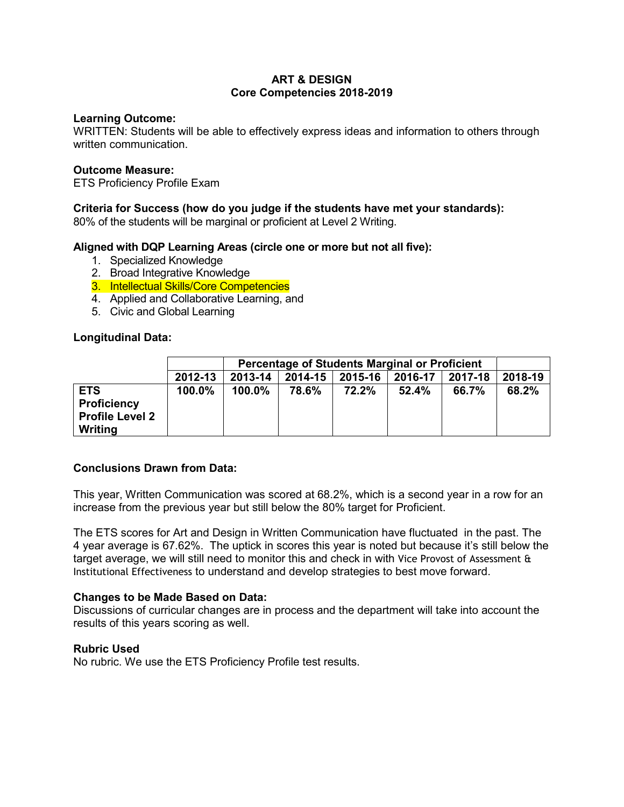### **ART & DESIGN Core Competencies 2018-2019**

### **Learning Outcome:**

WRITTEN: Students will be able to effectively express ideas and information to others through written communication.

### **Outcome Measure:**

ETS Proficiency Profile Exam

### **Criteria for Success (how do you judge if the students have met your standards):**

80% of the students will be marginal or proficient at Level 2 Writing.

### **Aligned with DQP Learning Areas (circle one or more but not all five):**

- 1. Specialized Knowledge
- 2. Broad Integrative Knowledge
- 3. Intellectual Skills/Core Competencies
- 4. Applied and Collaborative Learning, and
- 5. Civic and Global Learning

### **Longitudinal Data:**

|                                                                       |         | <b>Percentage of Students Marginal or Proficient</b> |                                                     |       |       |       |       |  |  |  |  |
|-----------------------------------------------------------------------|---------|------------------------------------------------------|-----------------------------------------------------|-------|-------|-------|-------|--|--|--|--|
|                                                                       | 2012-13 | 2013-14                                              | 2018-19<br>2014-15<br>2015-16<br>2016-17<br>2017-18 |       |       |       |       |  |  |  |  |
| <b>ETS</b><br><b>Proficiency</b><br><b>Profile Level 2</b><br>Writing | 100.0%  | $100.0\%$                                            | 78.6%                                               | 72.2% | 52.4% | 66.7% | 68.2% |  |  |  |  |

### **Conclusions Drawn from Data:**

This year, Written Communication was scored at 68.2%, which is a second year in a row for an increase from the previous year but still below the 80% target for Proficient.

The ETS scores for Art and Design in Written Communication have fluctuated in the past. The 4 year average is 67.62%. The uptick in scores this year is noted but because it's still below the target average, we will still need to monitor this and check in with Vice Provost of Assessment & Institutional Effectiveness to understand and develop strategies to best move forward.

### **Changes to be Made Based on Data:**

Discussions of curricular changes are in process and the department will take into account the results of this years scoring as well.

### **Rubric Used**

No rubric. We use the ETS Proficiency Profile test results.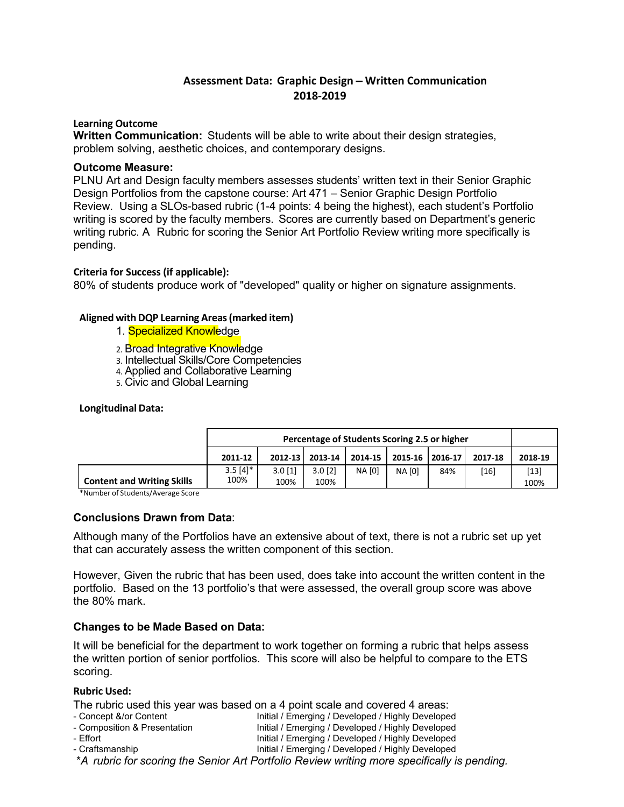## **Assessment Data: Graphic Design – Written Communication 2018-2019**

### **Learning Outcome**

 **Written Communication:** Students will be able to write about their design strategies, problem solving, aesthetic choices, and contemporary designs.

### **Outcome Measure:**

PLNU Art and Design faculty members assesses students' written text in their Senior Graphic Design Portfolios from the capstone course: Art 471 – Senior Graphic Design Portfolio Review. Using a SLOs-based rubric (1-4 points: 4 being the highest), each student's Portfolio writing is scored by the faculty members. Scores are currently based on Department's generic writing rubric. A Rubric for scoring the Senior Art Portfolio Review writing more specifically is pending.

#### **Criteria for Success (if applicable):**

80% of students produce work of "developed" quality or higher on signature assignments.

#### **Aligned withDQP Learning Areas(marked item)**

- 1. **Specialized Knowledge**
- 2. Broad Integrative Knowledge
- 3. Intellectual Skills/Core Competencies
- 4. Applied and Collaborative Learning
- 5. Civic and Global Learning

#### **Longitudinal Data:**

|                                   | Percentage of Students Scoring 2.5 or higher |           |                 |               |               |              |         |         |  |
|-----------------------------------|----------------------------------------------|-----------|-----------------|---------------|---------------|--------------|---------|---------|--|
|                                   | 2011-12                                      |           | 2012-13 2013-14 | 2014-15       | 2015-16       | $12016 - 17$ | 2017-18 | 2018-19 |  |
|                                   | $3.5[4]*$                                    | $3.0$ [1] | $3.0$ [2]       | <b>NA [0]</b> | <b>NA [0]</b> | 84%          | [16]    | $[13]$  |  |
| <b>Content and Writing Skills</b> | 100%                                         | 100%      | 100%            |               |               |              |         | 100%    |  |

\*Number of Students/Average Score

### **Conclusions Drawn from Data**:

Although many of the Portfolios have an extensive about of text, there is not a rubric set up yet that can accurately assess the written component of this section.

However, Given the rubric that has been used, does take into account the written content in the portfolio. Based on the 13 portfolio's that were assessed, the overall group score was above the 80% mark.

### **Changes to be Made Based on Data:**

It will be beneficial for the department to work together on forming a rubric that helps assess the written portion of senior portfolios. This score will also be helpful to compare to the ETS scoring.

#### **Rubric Used:**

The rubric used this year was based on a 4 point scale and covered 4 areas:<br>Concept &/or Content **and the set of the point of the set of the set of the set of the set one of the set one** 

- Initial / Emerging / Developed / Highly Developed
- Composition & Presentation **Initial / Emerging / Developed / Highly Developed**<br>Initial / Emerging / Developed / Highly Developed Effort
- Effort **Initial / Emerging / Developed / Highly Developed**<br>Initial / Emerging / Developed / Highly Developed Craftsmanship Initial / Emerging / Developed / Highly Developed
- 
- \**A rubric for scoring the Senior Art Portfolio Review writing more specifically is pending.*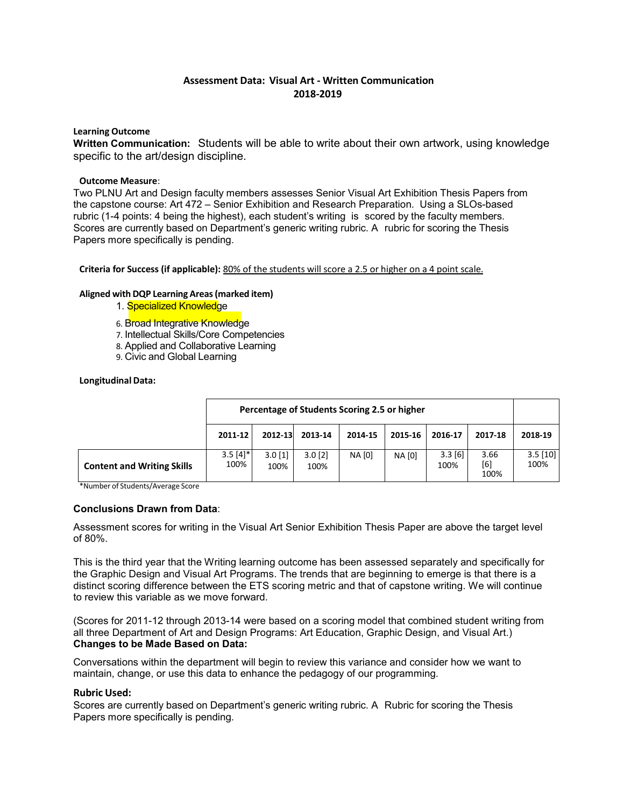### **Assessment Data: Visual Art - Written Communication 2018-2019**

#### **Learning Outcome**

**Written Communication:** Students will be able to write about their own artwork, using knowledge specific to the art/design discipline.

#### **Outcome Measure**:

Two PLNU Art and Design faculty members assesses Senior Visual Art Exhibition Thesis Papers from the capstone course: Art 472 – Senior Exhibition and Research Preparation. Using a SLOs-based rubric (1-4 points: 4 being the highest), each student's writing is scored by the faculty members. Scores are currently based on Department's generic writing rubric. A rubric for scoring the Thesis Papers more specifically is pending.

**Criteria for Success (if applicable):** 80% of the students will score a 2.5 or higher on a 4 point scale.

#### **Aligned with DQP Learning Areas(marked item)**

- 1. Specialized Knowledge
- 6. Broad Integrative Knowledge
- 7. Intellectual Skills/Core Competencies
- 8. Applied and Collaborative Learning
- 9. Civic and Global Learning

#### **Longitudinal Data:**

|                                   | Percentage of Students Scoring 2.5 or higher |                   |                   |               |               |                 |                     |                 |
|-----------------------------------|----------------------------------------------|-------------------|-------------------|---------------|---------------|-----------------|---------------------|-----------------|
|                                   | 2011-12                                      | $2012 - 13$       | 2013-14           | 2014-15       | 2015-16       | 2016-17         | 2017-18             | 2018-19         |
| <b>Content and Writing Skills</b> | $3.5[4]*$<br>100%                            | $3.0$ [1]<br>100% | $3.0$ [2]<br>100% | <b>NA [0]</b> | <b>NA [0]</b> | 3.3 [6]<br>100% | 3.66<br>[6]<br>100% | 3.5[10]<br>100% |

\*Number of Students/Average Score

#### **Conclusions Drawn from Data**:

Assessment scores for writing in the Visual Art Senior Exhibition Thesis Paper are above the target level of 80%.

This is the third year that the Writing learning outcome has been assessed separately and specifically for the Graphic Design and Visual Art Programs. The trends that are beginning to emerge is that there is a distinct scoring difference between the ETS scoring metric and that of capstone writing. We will continue to review this variable as we move forward.

(Scores for 2011-12 through 2013-14 were based on a scoring model that combined student writing from all three Department of Art and Design Programs: Art Education, Graphic Design, and Visual Art.) **Changes to be Made Based on Data:**

Conversations within the department will begin to review this variance and consider how we want to maintain, change, or use this data to enhance the pedagogy of our programming.

#### **Rubric Used:**

Scores are currently based on Department's generic writing rubric. A Rubric for scoring the Thesis Papers more specifically is pending.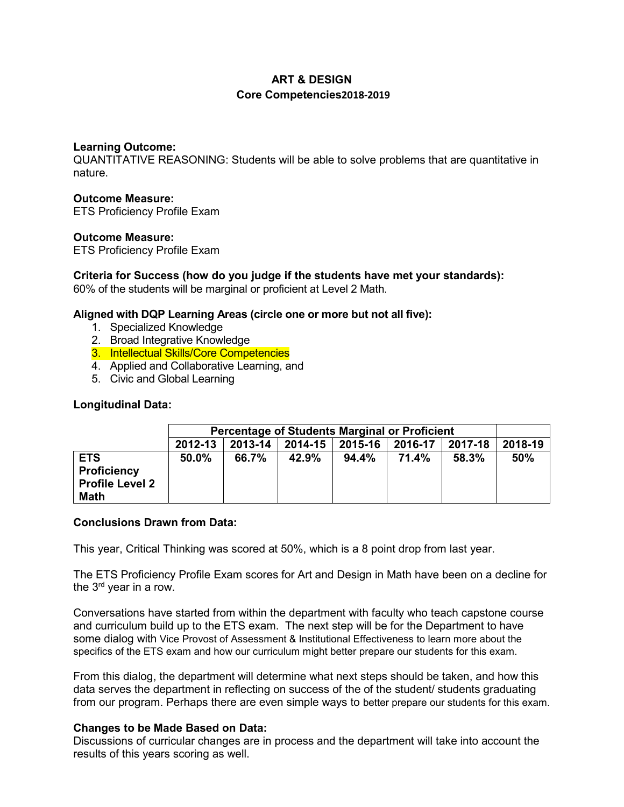## **ART & DESIGN Core Competencies2018-2019**

### **Learning Outcome:**

QUANTITATIVE REASONING: Students will be able to solve problems that are quantitative in nature.

### **Outcome Measure:**

ETS Proficiency Profile Exam

### **Outcome Measure:**

ETS Proficiency Profile Exam

**Criteria for Success (how do you judge if the students have met your standards):** 60% of the students will be marginal or proficient at Level 2 Math.

### **Aligned with DQP Learning Areas (circle one or more but not all five):**

- 1. Specialized Knowledge
- 2. Broad Integrative Knowledge
- 3. Intellectual Skills/Core Competencies
- 4. Applied and Collaborative Learning, and
- 5. Civic and Global Learning

### **Longitudinal Data:**

|                                                                           | <b>Percentage of Students Marginal or Proficient</b> |                                                                |       |          |       |       |     |  |  |  |
|---------------------------------------------------------------------------|------------------------------------------------------|----------------------------------------------------------------|-------|----------|-------|-------|-----|--|--|--|
|                                                                           | 2012-13                                              | 2015-16<br>2017-18<br>2018-19<br>2013-14<br>2016-17<br>2014-15 |       |          |       |       |     |  |  |  |
| <b>ETS</b><br><b>Proficiency</b><br><b>Profile Level 2</b><br><b>Math</b> | 50.0%                                                | 66.7%                                                          | 42.9% | $94.4\%$ | 71.4% | 58.3% | 50% |  |  |  |

### **Conclusions Drawn from Data:**

This year, Critical Thinking was scored at 50%, which is a 8 point drop from last year.

The ETS Proficiency Profile Exam scores for Art and Design in Math have been on a decline for the 3rd year in a row.

Conversations have started from within the department with faculty who teach capstone course and curriculum build up to the ETS exam. The next step will be for the Department to have some dialog with Vice Provost of Assessment & Institutional Effectiveness to learn more about the specifics of the ETS exam and how our curriculum might better prepare our students for this exam.

From this dialog, the department will determine what next steps should be taken, and how this data serves the department in reflecting on success of the of the student/ students graduating from our program. Perhaps there are even simple ways to better prepare our students for this exam.

### **Changes to be Made Based on Data:**

Discussions of curricular changes are in process and the department will take into account the results of this years scoring as well.